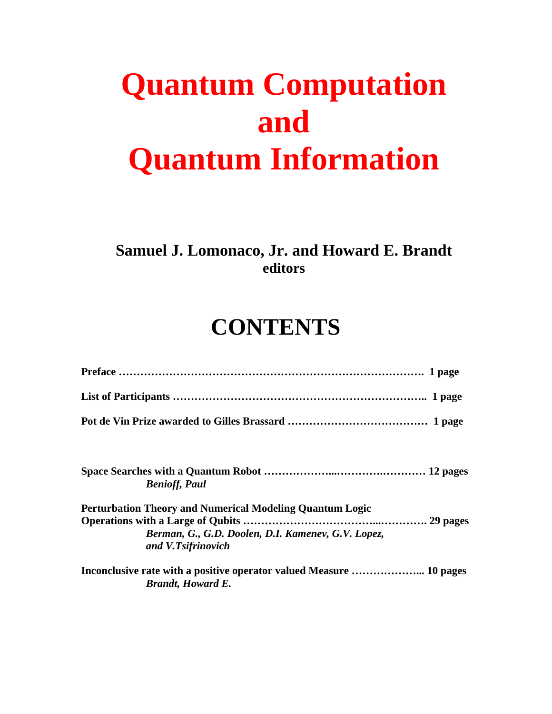## **Quantum Computation and Quantum Information**

## **Samuel J. Lomonaco, Jr. and Howard E. Brandt editors**

## **CONTENTS**

| <b>Benioff, Paul</b>                                                                                                                        |
|---------------------------------------------------------------------------------------------------------------------------------------------|
| <b>Perturbation Theory and Numerical Modeling Quantum Logic</b><br>Berman, G., G.D. Doolen, D.I. Kamenev, G.V. Lopez,<br>and V.Tsifrinovich |
| <b>Brandt</b> , Howard E.                                                                                                                   |